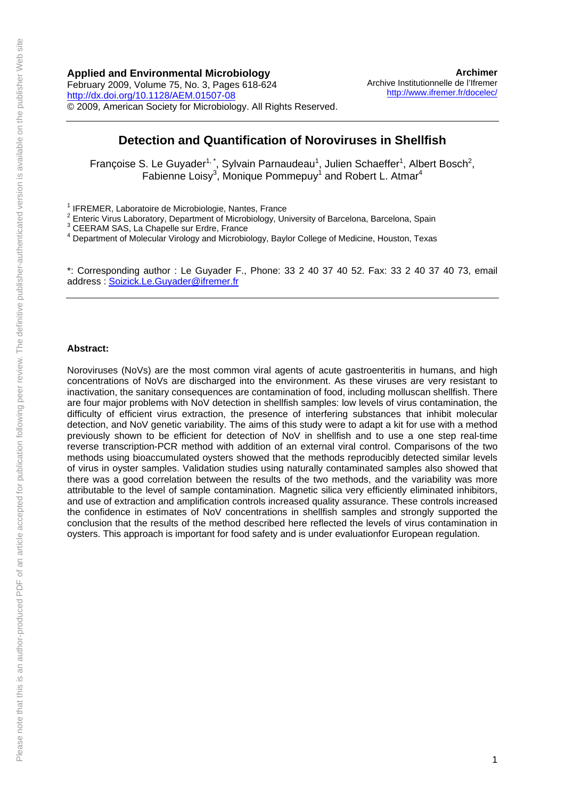## **Applied and Environmental Microbiology**

February 2009, Volume 75, No. 3, Pages 618-624 <http://dx.doi.org/10.1128/AEM.01507-08> © 2009, American Society for Microbiology. All Rights Reserved.

**[Archimer](http://www.ifremer.fr/docelec/)** [Archive Institutionnelle de l'Ifremer](http://www.ifremer.fr/docelec/) <http://www.ifremer.fr/docelec/>

## **Detection and Quantification of Noroviruses in Shellfish**

Françoise S. Le Guyader<sup>1,\*</sup>, Sylvain Parnaudeau<sup>1</sup>, Julien Schaeffer<sup>1</sup>, Albert Bosch<sup>2</sup>, Fabienne Loisy<sup>3</sup>, Monique Pommepuy<sup>1</sup> and Robert L. Atmar<sup>4</sup>

<sup>1</sup> IFREMER, Laboratoire de Microbiologie, Nantes, France

<sup>2</sup> Enteric Virus Laboratory, Department of Microbiology, University of Barcelona, Barcelona, Spain

<sup>3</sup> CEERAM SAS, La Chapelle sur Erdre, France<br><sup>4</sup> Department of Malequier Vireleay and Microbia

Department of Molecular Virology and Microbiology, Baylor College of Medicine, Houston, Texas

\*: Corresponding author : Le Guyader F., Phone: 33 2 40 37 40 52. Fax: 33 2 40 37 40 73, email address : [Soizick.Le.Guyader@ifremer.fr](mailto:Soizick.Le.Guyader@ifremer.fr)

#### **Abstract:**

Noroviruses (NoVs) are the most common viral agents of acute gastroenteritis in humans, and high concentrations of NoVs are discharged into the environment. As these viruses are very resistant to inactivation, the sanitary consequences are contamination of food, including molluscan shellfish. There are four major problems with NoV detection in shellfish samples: low levels of virus contamination, the difficulty of efficient virus extraction, the presence of interfering substances that inhibit molecular detection, and NoV genetic variability. The aims of this study were to adapt a kit for use with a method previously shown to be efficient for detection of NoV in shellfish and to use a one step real-time reverse transcription-PCR method with addition of an external viral control. Comparisons of the two methods using bioaccumulated oysters showed that the methods reproducibly detected similar levels of virus in oyster samples. Validation studies using naturally contaminated samples also showed that there was a good correlation between the results of the two methods, and the variability was more attributable to the level of sample contamination. Magnetic silica very efficiently eliminated inhibitors, and use of extraction and amplification controls increased quality assurance. These controls increased the confidence in estimates of NoV concentrations in shellfish samples and strongly supported the conclusion that the results of the method described here reflected the levels of virus contamination in oysters. This approach is important for food safety and is under evaluationfor European regulation.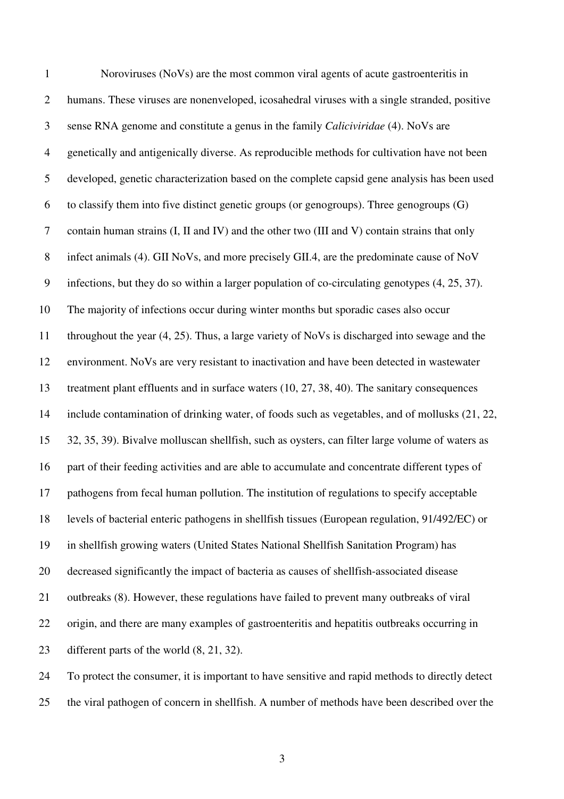1 Noroviruses (NoVs) are the most common viral agents of acute gastroenteritis in 2 humans. These viruses are nonenveloped, icosahedral viruses with a single stranded, positive 3 sense RNA genome and constitute a genus in the family *Caliciviridae* (4). NoVs are 4 genetically and antigenically diverse. As reproducible methods for cultivation have not been 5 developed, genetic characterization based on the complete capsid gene analysis has been used 6 to classify them into five distinct genetic groups (or genogroups). Three genogroups  $(G)$ 7 contain human strains (I, II and IV) and the other two (III and V) contain strains that only 8 infect animals (4). GII NoVs, and more precisely GII.4, are the predominate cause of NoV 9 infections, but they do so within a larger population of co-circulating genotypes (4, 25, 37). 10 The majority of infections occur during winter months but sporadic cases also occur 11 throughout the year (4, 25). Thus, a large variety of NoVs is discharged into sewage and the 12 environment. NoVs are very resistant to inactivation and have been detected in wastewater 13 treatment plant effluents and in surface waters (10, 27, 38, 40). The sanitary consequences 14 include contamination of drinking water, of foods such as vegetables, and of mollusks (21, 22, 15 32, 35, 39). Bivalve molluscan shellfish, such as oysters, can filter large volume of waters as 16 part of their feeding activities and are able to accumulate and concentrate different types of 17 pathogens from fecal human pollution. The institution of regulations to specify acceptable 18 levels of bacterial enteric pathogens in shellfish tissues (European regulation, 91/492/EC) or 19 in shellfish growing waters (United States National Shellfish Sanitation Program) has 20 decreased significantly the impact of bacteria as causes of shellfish-associated disease 21 outbreaks (8). However, these regulations have failed to prevent many outbreaks of viral 22 origin, and there are many examples of gastroenteritis and hepatitis outbreaks occurring in 23 different parts of the world (8, 21, 32). 24 To protect the consumer, it is important to have sensitive and rapid methods to directly detect

25 the viral pathogen of concern in shellfish. A number of methods have been described over the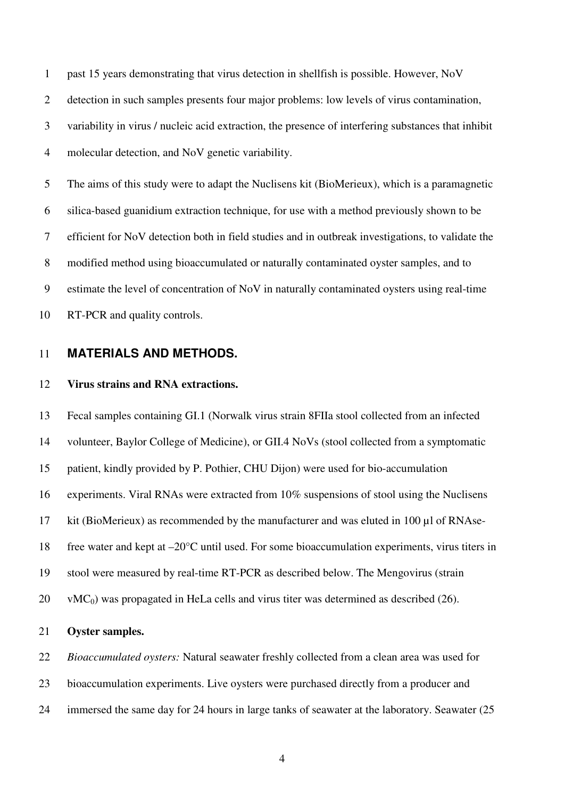1 past 15 years demonstrating that virus detection in shellfish is possible. However, NoV 2 detection in such samples presents four major problems: low levels of virus contamination, 3 variability in virus / nucleic acid extraction, the presence of interfering substances that inhibit 4 molecular detection, and NoV genetic variability.

5 The aims of this study were to adapt the Nuclisens kit (BioMerieux), which is a paramagnetic 6 silica-based guanidium extraction technique, for use with a method previously shown to be 7 efficient for NoV detection both in field studies and in outbreak investigations, to validate the 8 modified method using bioaccumulated or naturally contaminated oyster samples, and to 9 estimate the level of concentration of NoV in naturally contaminated oysters using real-time 10 RT-PCR and quality controls.

## 11 **MATERIALS AND METHODS.**

#### 12 **Virus strains and RNA extractions.**

13 Fecal samples containing GI.1 (Norwalk virus strain 8FIIa stool collected from an infected 14 volunteer, Baylor College of Medicine), or GII.4 NoVs (stool collected from a symptomatic 15 patient, kindly provided by P. Pothier, CHU Dijon) were used for bio-accumulation 16 experiments. Viral RNAs were extracted from 10% suspensions of stool using the Nuclisens 17 kit (BioMerieux) as recommended by the manufacturer and was eluted in 100 µl of RNAse-18 free water and kept at –20°C until used. For some bioaccumulation experiments, virus titers in 19 stool were measured by real-time RT-PCR as described below. The Mengovirus (strain  $20 \text{ WAC}_0$ ) was propagated in HeLa cells and virus titer was determined as described (26).

## 21 **Oyster samples.**

22 *Bioaccumulated oysters:* Natural seawater freshly collected from a clean area was used for 23 bioaccumulation experiments. Live oysters were purchased directly from a producer and 24 immersed the same day for 24 hours in large tanks of seawater at the laboratory. Seawater (25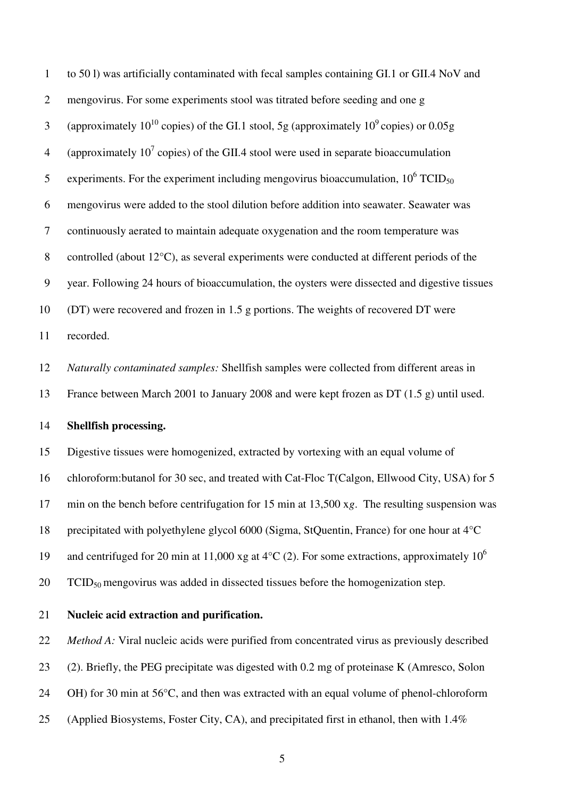1 to 50 l) was artificially contaminated with fecal samples containing GI.1 or GII.4 NoV and 2 mengovirus. For some experiments stool was titrated before seeding and one g 3 (approximately  $10^{10}$  copies) of the GI.1 stool, 5g (approximately  $10^9$  copies) or 0.05g 4 (approximately  $10^7$  copies) of the GII.4 stool were used in separate bioaccumulation 5 experiments. For the experiment including mengovirus bioaccumulation,  $10^6$  TCID<sub>50</sub> 6 mengovirus were added to the stool dilution before addition into seawater. Seawater was 7 continuously aerated to maintain adequate oxygenation and the room temperature was 8 controlled (about 12°C), as several experiments were conducted at different periods of the 9 year. Following 24 hours of bioaccumulation, the oysters were dissected and digestive tissues 10 (DT) were recovered and frozen in 1.5 g portions. The weights of recovered DT were 11 recorded. 12 *Naturally contaminated samples:* Shellfish samples were collected from different areas in 13 France between March 2001 to January 2008 and were kept frozen as DT (1.5 g) until used. 14 **Shellfish processing.**  15 Digestive tissues were homogenized, extracted by vortexing with an equal volume of 16 chloroform:butanol for 30 sec, and treated with Cat-Floc T(Calgon, Ellwood City, USA) for 5 17 min on the bench before centrifugation for 15 min at 13,500 x*g*. The resulting suspension was 18 precipitated with polyethylene glycol 6000 (Sigma, StQuentin, France) for one hour at 4°C and centrifuged for 20 min at 11,000 xg at 4 $\degree$ C (2). For some extractions, approximately 10<sup>6</sup> 19

20  $TCID_{50}$  mengovirus was added in dissected tissues before the homogenization step.

## 21 **Nucleic acid extraction and purification.**

22 *Method A:* Viral nucleic acids were purified from concentrated virus as previously described 23 (2). Briefly, the PEG precipitate was digested with 0.2 mg of proteinase K (Amresco, Solon 24 OH) for 30 min at 56°C, and then was extracted with an equal volume of phenol-chloroform

25 (Applied Biosystems, Foster City, CA), and precipitated first in ethanol, then with 1.4%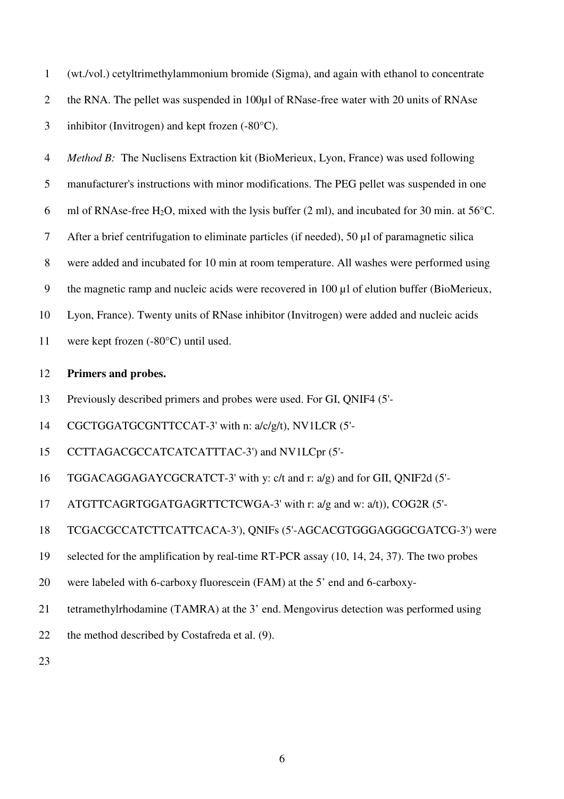1 (wt./vol.) cetyltrimethylammonium bromide (Sigma), and again with ethanol to concentrate 2 the RNA. The pellet was suspended in 100µl of RNase-free water with 20 units of RNAse 3 inhibitor (Invitrogen) and kept frozen (-80°C).

4 *Method B:* The Nuclisens Extraction kit (BioMerieux, Lyon, France) was used following 5 manufacturer's instructions with minor modifications. The PEG pellet was suspended in one 6 ml of RNAse-free H<sub>2</sub>O, mixed with the lysis buffer (2 ml), and incubated for 30 min. at 56<sup>o</sup>C. 7 After a brief centrifugation to eliminate particles (if needed), 50 µl of paramagnetic silica 8 were added and incubated for 10 min at room temperature. All washes were performed using 9 the magnetic ramp and nucleic acids were recovered in 100 µl of elution buffer (BioMerieux, 10 Lyon, France). Twenty units of RNase inhibitor (Invitrogen) were added and nucleic acids 11 were kept frozen (-80°C) until used. 12 **Primers and probes.**  13 Previously described primers and probes were used. For GI, QNIF4 (5'-

14 CGCTGGATGCGNTTCCAT-3' with n: a/c/g/t), NV1LCR (5'-

15 CCTTAGACGCCATCATCATTTAC-3') and NV1LCpr (5'-

16 TGGACAGGAGAYCGCRATCT-3' with y: c/t and r: a/g) and for GII, QNIF2d (5'-

17 ATGTTCAGRTGGATGAGRTTCTCWGA-3' with r: a/g and w: a/t)), COG2R (5'-

18 TCGACGCCATCTTCATTCACA-3'), QNIFs (5'-AGCACGTGGGAGGGCGATCG-3') were

19 selected for the amplification by real-time RT-PCR assay (10, 14, 24, 37). The two probes

20 were labeled with 6-carboxy fluorescein (FAM) at the 5' end and 6-carboxy-

21 tetramethylrhodamine (TAMRA) at the 3' end. Mengovirus detection was performed using

22 the method described by Costafreda et al. (9).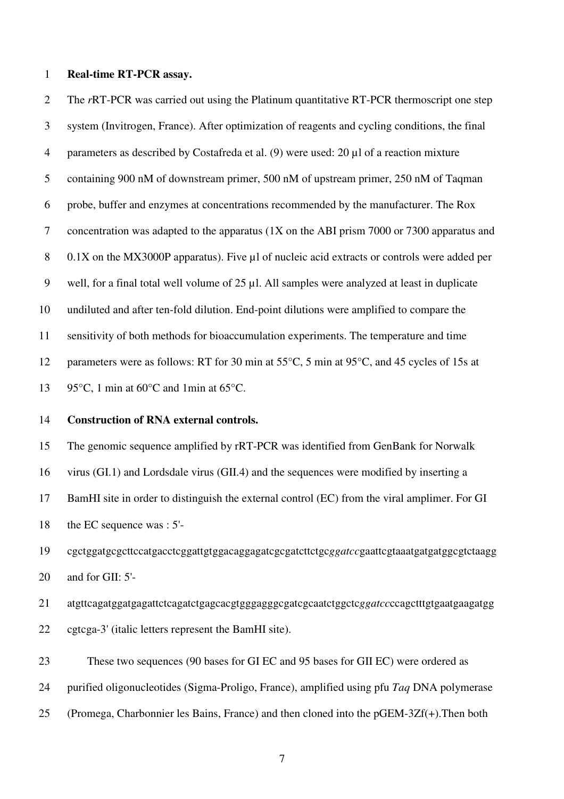#### 1 **Real-time RT-PCR assay.**

2 The *r*RT-PCR was carried out using the Platinum quantitative RT-PCR thermoscript one step 3 system (Invitrogen, France). After optimization of reagents and cycling conditions, the final 4 parameters as described by Costafreda et al. (9) were used: 20 µl of a reaction mixture 5 containing 900 nM of downstream primer, 500 nM of upstream primer, 250 nM of Taqman 6 probe, buffer and enzymes at concentrations recommended by the manufacturer. The Rox 7 concentration was adapted to the apparatus (1X on the ABI prism 7000 or 7300 apparatus and 8 0.1X on the MX3000P apparatus). Five µl of nucleic acid extracts or controls were added per 9 well, for a final total well volume of 25 µl. All samples were analyzed at least in duplicate 10 undiluted and after ten-fold dilution. End-point dilutions were amplified to compare the 11 sensitivity of both methods for bioaccumulation experiments. The temperature and time 12 parameters were as follows: RT for 30 min at 55°C, 5 min at 95°C, and 45 cycles of 15s at 13 95 $\degree$ C, 1 min at 60 $\degree$ C and 1 min at 65 $\degree$ C.

## 14 **Construction of RNA external controls.**

15 The genomic sequence amplified by rRT-PCR was identified from GenBank for Norwalk 16 virus (GI.1) and Lordsdale virus (GII.4) and the sequences were modified by inserting a 17 BamHI site in order to distinguish the external control (EC) from the viral amplimer. For GI 18 the EC sequence was : 5'-

19 cgctggatgcgcttccatgacctcggattgtggacaggagatcgcgatcttctgc*ggatcc*gaattcgtaaatgatgatggcgtctaagg 20 and for GII: 5'-

21 atgttcagatggatgagattctcagatctgagcacgtgggagggcgatcgcaatctggctc*ggatcc*ccagctttgtgaatgaagatgg 22 cgtcga-3' (italic letters represent the BamHI site).

23 These two sequences (90 bases for GI EC and 95 bases for GII EC) were ordered as 24 purified oligonucleotides (Sigma-Proligo, France), amplified using pfu *Taq* DNA polymerase 25 (Promega, Charbonnier les Bains, France) and then cloned into the pGEM-3Zf(+).Then both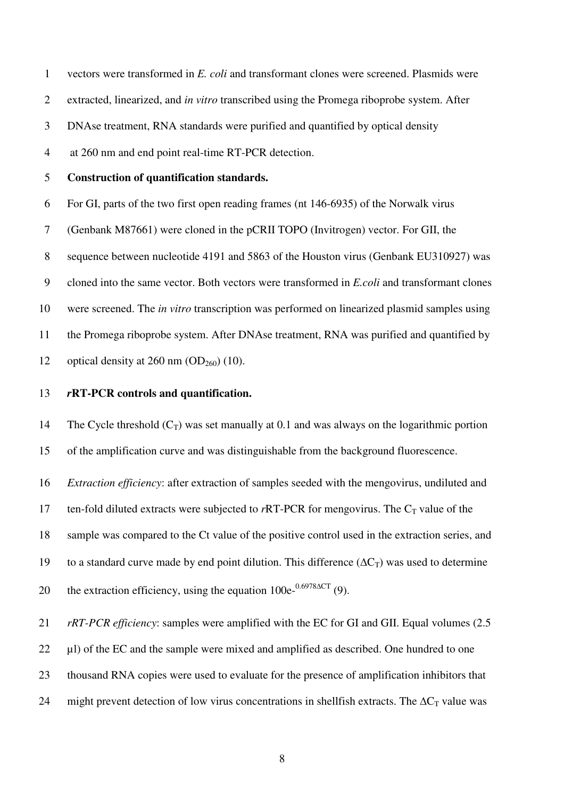1 vectors were transformed in *E. coli* and transformant clones were screened. Plasmids were 2 extracted, linearized, and *in vitro* transcribed using the Promega riboprobe system. After 3 DNAse treatment, RNA standards were purified and quantified by optical density 4 at 260 nm and end point real-time RT-PCR detection.

#### 5 **Construction of quantification standards.**

6 For GI, parts of the two first open reading frames (nt 146-6935) of the Norwalk virus

7 (Genbank M87661) were cloned in the pCRII TOPO (Invitrogen) vector. For GII, the

8 sequence between nucleotide 4191 and 5863 of the Houston virus (Genbank EU310927) was

9 cloned into the same vector. Both vectors were transformed in *E.coli* and transformant clones

10 were screened. The *in vitro* transcription was performed on linearized plasmid samples using

11 the Promega riboprobe system. After DNAse treatment, RNA was purified and quantified by

12 optical density at 260 nm  $OD<sub>260</sub>$  (10).

## 13 *r***RT-PCR controls and quantification.**

14 The Cycle threshold  $(C_T)$  was set manually at 0.1 and was always on the logarithmic portion 15 of the amplification curve and was distinguishable from the background fluorescence.

16 *Extraction efficiency*: after extraction of samples seeded with the mengovirus, undiluted and

17 ten-fold diluted extracts were subjected to  $rRT-PCR$  for mengovirus. The  $C_T$  value of the

18 sample was compared to the Ct value of the positive control used in the extraction series, and

19 to a standard curve made by end point dilution. This difference ( $\Delta C_T$ ) was used to determine

the extraction efficiency, using the equation  $100e^{-0.6978\Delta CT}$  (9).

21 *rRT-PCR efficiency*: samples were amplified with the EC for GI and GII. Equal volumes (2.5

22 µl) of the EC and the sample were mixed and amplified as described. One hundred to one

23 thousand RNA copies were used to evaluate for the presence of amplification inhibitors that

24 might prevent detection of low virus concentrations in shellfish extracts. The  $\Delta C_T$  value was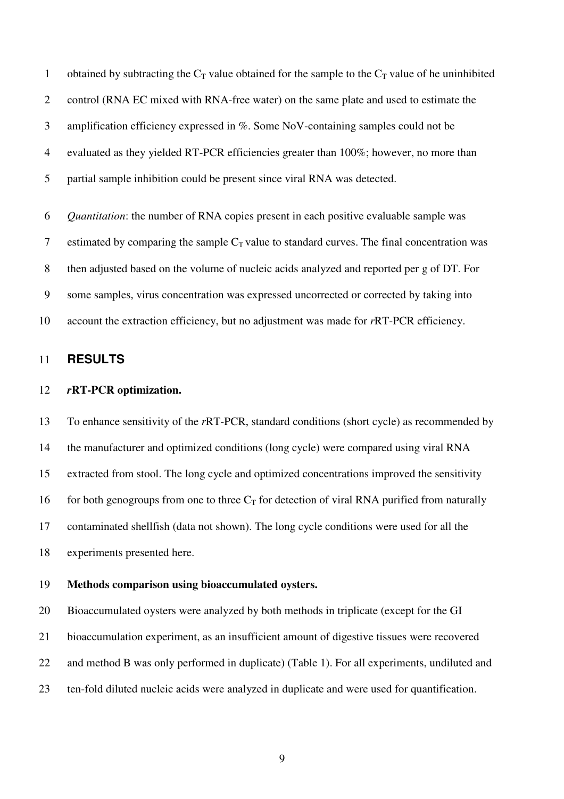1 obtained by subtracting the  $C_T$  value obtained for the sample to the  $C_T$  value of he uninhibited 2 control (RNA EC mixed with RNA-free water) on the same plate and used to estimate the 3 amplification efficiency expressed in %. Some NoV-containing samples could not be 4 evaluated as they yielded RT-PCR efficiencies greater than 100%; however, no more than 5 partial sample inhibition could be present since viral RNA was detected.

6 *Quantitation*: the number of RNA copies present in each positive evaluable sample was 7 estimated by comparing the sample  $C_T$  value to standard curves. The final concentration was 8 then adjusted based on the volume of nucleic acids analyzed and reported per g of DT. For 9 some samples, virus concentration was expressed uncorrected or corrected by taking into 10 account the extraction efficiency, but no adjustment was made for *r*RT-PCR efficiency.

## 11 **RESULTS**

## 12 *r***RT-PCR optimization.**

13 To enhance sensitivity of the *r*RT-PCR, standard conditions (short cycle) as recommended by 14 the manufacturer and optimized conditions (long cycle) were compared using viral RNA 15 extracted from stool. The long cycle and optimized concentrations improved the sensitivity 16 for both genogroups from one to three  $C_T$  for detection of viral RNA purified from naturally 17 contaminated shellfish (data not shown). The long cycle conditions were used for all the 18 experiments presented here.

#### 19 **Methods comparison using bioaccumulated oysters.**

20 Bioaccumulated oysters were analyzed by both methods in triplicate (except for the GI 21 bioaccumulation experiment, as an insufficient amount of digestive tissues were recovered 22 and method B was only performed in duplicate) (Table 1). For all experiments, undiluted and 23 ten-fold diluted nucleic acids were analyzed in duplicate and were used for quantification.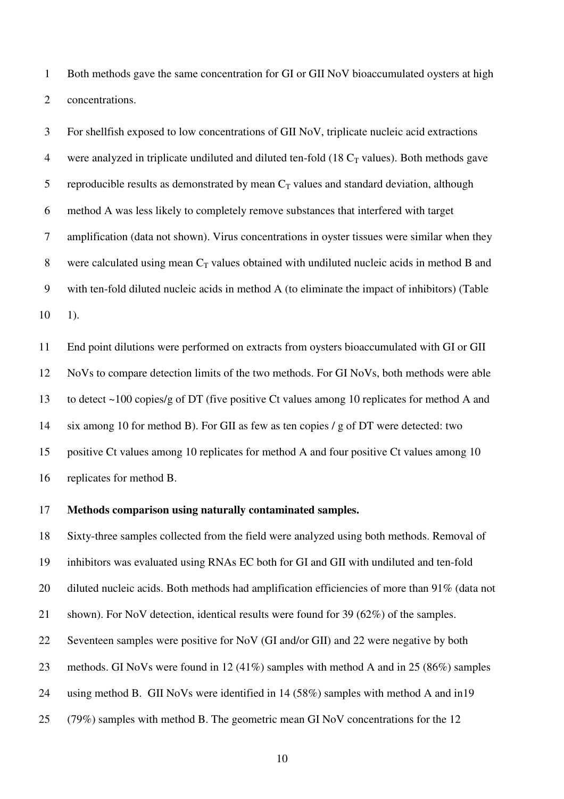1 Both methods gave the same concentration for GI or GII NoV bioaccumulated oysters at high 2 concentrations.

3 For shellfish exposed to low concentrations of GII NoV, triplicate nucleic acid extractions 4 were analyzed in triplicate undiluted and diluted ten-fold  $(18 C_T)$  values). Both methods gave 5 reproducible results as demonstrated by mean  $C_T$  values and standard deviation, although 6 method A was less likely to completely remove substances that interfered with target 7 amplification (data not shown). Virus concentrations in oyster tissues were similar when they 8 were calculated using mean  $C_T$  values obtained with undiluted nucleic acids in method B and 9 with ten-fold diluted nucleic acids in method A (to eliminate the impact of inhibitors) (Table  $10 - 1$ .

11 End point dilutions were performed on extracts from oysters bioaccumulated with GI or GII 12 NoVs to compare detection limits of the two methods. For GI NoVs, both methods were able 13 to detect ~100 copies/g of DT (five positive Ct values among 10 replicates for method A and 14 six among 10 for method B). For GII as few as ten copies / g of DT were detected: two 15 positive Ct values among 10 replicates for method A and four positive Ct values among 10 16 replicates for method B.

#### 17 **Methods comparison using naturally contaminated samples.**

18 Sixty-three samples collected from the field were analyzed using both methods. Removal of 19 inhibitors was evaluated using RNAs EC both for GI and GII with undiluted and ten-fold 20 diluted nucleic acids. Both methods had amplification efficiencies of more than 91% (data not 21 shown). For NoV detection, identical results were found for 39 (62%) of the samples. 22 Seventeen samples were positive for NoV (GI and/or GII) and 22 were negative by both 23 methods. GI NoVs were found in 12 (41%) samples with method A and in 25 (86%) samples 24 using method B. GII NoVs were identified in 14 (58%) samples with method A and in19 25 (79%) samples with method B. The geometric mean GI NoV concentrations for the 12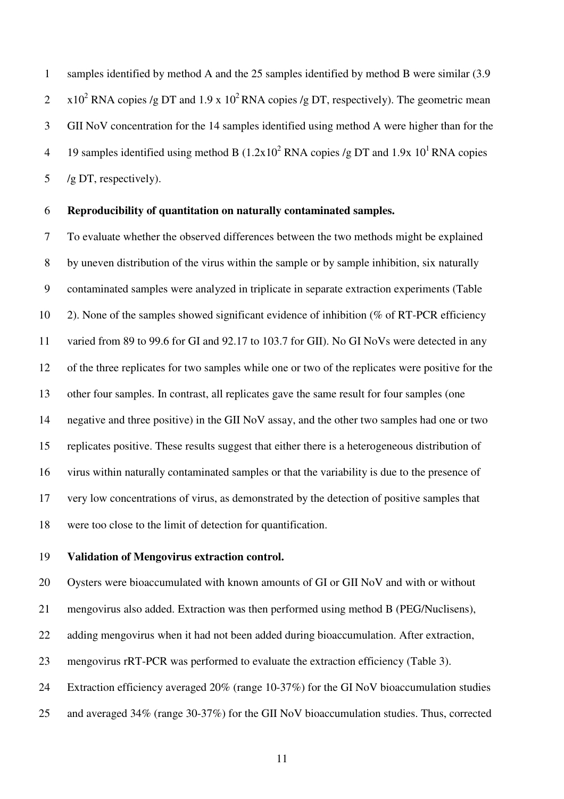1 samples identified by method A and the 25 samples identified by method B were similar (3.9  $x = x10^2$  RNA copies /g DT and 1.9 x 10<sup>2</sup> RNA copies /g DT, respectively). The geometric mean 3 GII NoV concentration for the 14 samples identified using method A were higher than for the 4 19 samples identified using method B  $(1.2x10^2$  RNA copies /g DT and 1.9x 10<sup>1</sup> RNA copies 5 /g DT, respectively).

#### 6 **Reproducibility of quantitation on naturally contaminated samples.**

7 To evaluate whether the observed differences between the two methods might be explained 8 by uneven distribution of the virus within the sample or by sample inhibition, six naturally 9 contaminated samples were analyzed in triplicate in separate extraction experiments (Table 10 2). None of the samples showed significant evidence of inhibition (% of RT-PCR efficiency 11 varied from 89 to 99.6 for GI and 92.17 to 103.7 for GII). No GI NoVs were detected in any 12 of the three replicates for two samples while one or two of the replicates were positive for the 13 other four samples. In contrast, all replicates gave the same result for four samples (one 14 negative and three positive) in the GII NoV assay, and the other two samples had one or two 15 replicates positive. These results suggest that either there is a heterogeneous distribution of 16 virus within naturally contaminated samples or that the variability is due to the presence of 17 very low concentrations of virus, as demonstrated by the detection of positive samples that 18 were too close to the limit of detection for quantification.

## 19 **Validation of Mengovirus extraction control.**

20 Oysters were bioaccumulated with known amounts of GI or GII NoV and with or without 21 mengovirus also added. Extraction was then performed using method B (PEG/Nuclisens), 22 adding mengovirus when it had not been added during bioaccumulation. After extraction, 23 mengovirus rRT-PCR was performed to evaluate the extraction efficiency (Table 3). 24 Extraction efficiency averaged 20% (range 10-37%) for the GI NoV bioaccumulation studies 25 and averaged 34% (range 30-37%) for the GII NoV bioaccumulation studies. Thus, corrected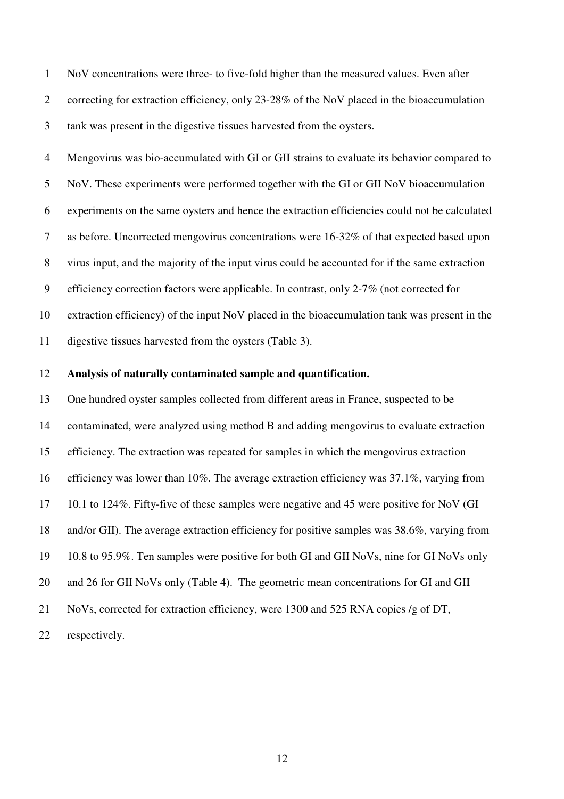1 NoV concentrations were three- to five-fold higher than the measured values. Even after 2 correcting for extraction efficiency, only 23-28% of the NoV placed in the bioaccumulation 3 tank was present in the digestive tissues harvested from the oysters.

4 Mengovirus was bio-accumulated with GI or GII strains to evaluate its behavior compared to 5 NoV. These experiments were performed together with the GI or GII NoV bioaccumulation 6 experiments on the same oysters and hence the extraction efficiencies could not be calculated 7 as before. Uncorrected mengovirus concentrations were 16-32% of that expected based upon 8 virus input, and the majority of the input virus could be accounted for if the same extraction 9 efficiency correction factors were applicable. In contrast, only 2-7% (not corrected for 10 extraction efficiency) of the input NoV placed in the bioaccumulation tank was present in the 11 digestive tissues harvested from the oysters (Table 3).

#### 12 **Analysis of naturally contaminated sample and quantification.**

13 One hundred oyster samples collected from different areas in France, suspected to be 14 contaminated, were analyzed using method B and adding mengovirus to evaluate extraction 15 efficiency. The extraction was repeated for samples in which the mengovirus extraction 16 efficiency was lower than 10%. The average extraction efficiency was 37.1%, varying from 17 10.1 to 124%. Fifty-five of these samples were negative and 45 were positive for NoV (GI 18 and/or GII). The average extraction efficiency for positive samples was 38.6%, varying from 19 10.8 to 95.9%. Ten samples were positive for both GI and GII NoVs, nine for GI NoVs only 20 and 26 for GII NoVs only (Table 4). The geometric mean concentrations for GI and GII 21 NoVs, corrected for extraction efficiency, were 1300 and 525 RNA copies /g of DT, 22 respectively.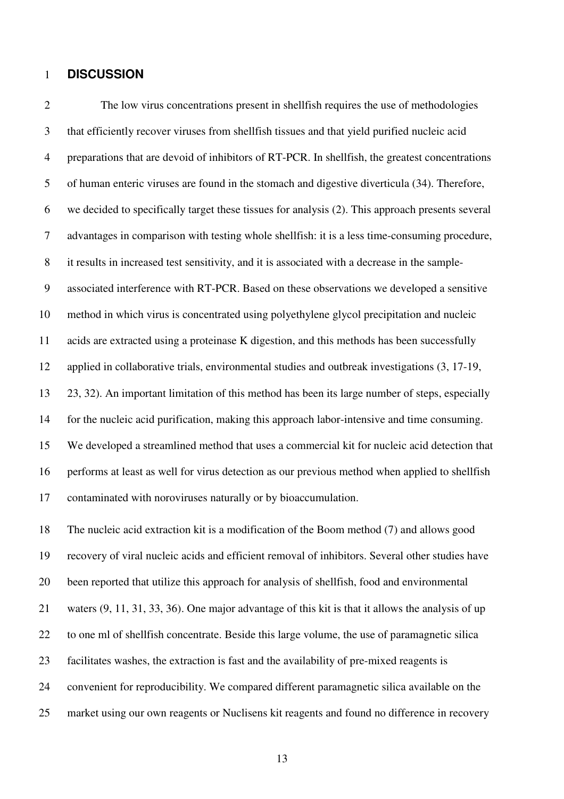#### 1 **DISCUSSION**

2 The low virus concentrations present in shellfish requires the use of methodologies 3 that efficiently recover viruses from shellfish tissues and that yield purified nucleic acid 4 preparations that are devoid of inhibitors of RT-PCR. In shellfish, the greatest concentrations 5 of human enteric viruses are found in the stomach and digestive diverticula (34). Therefore, 6 we decided to specifically target these tissues for analysis (2). This approach presents several 7 advantages in comparison with testing whole shellfish: it is a less time-consuming procedure, 8 it results in increased test sensitivity, and it is associated with a decrease in the sample-9 associated interference with RT-PCR. Based on these observations we developed a sensitive 10 method in which virus is concentrated using polyethylene glycol precipitation and nucleic 11 acids are extracted using a proteinase K digestion, and this methods has been successfully 12 applied in collaborative trials, environmental studies and outbreak investigations (3, 17-19, 13 23, 32). An important limitation of this method has been its large number of steps, especially 14 for the nucleic acid purification, making this approach labor-intensive and time consuming. 15 We developed a streamlined method that uses a commercial kit for nucleic acid detection that 16 performs at least as well for virus detection as our previous method when applied to shellfish 17 contaminated with noroviruses naturally or by bioaccumulation.

18 The nucleic acid extraction kit is a modification of the Boom method (7) and allows good 19 recovery of viral nucleic acids and efficient removal of inhibitors. Several other studies have 20 been reported that utilize this approach for analysis of shellfish, food and environmental 21 waters (9, 11, 31, 33, 36). One major advantage of this kit is that it allows the analysis of up 22 to one ml of shellfish concentrate. Beside this large volume, the use of paramagnetic silica 23 facilitates washes, the extraction is fast and the availability of pre-mixed reagents is 24 convenient for reproducibility. We compared different paramagnetic silica available on the 25 market using our own reagents or Nuclisens kit reagents and found no difference in recovery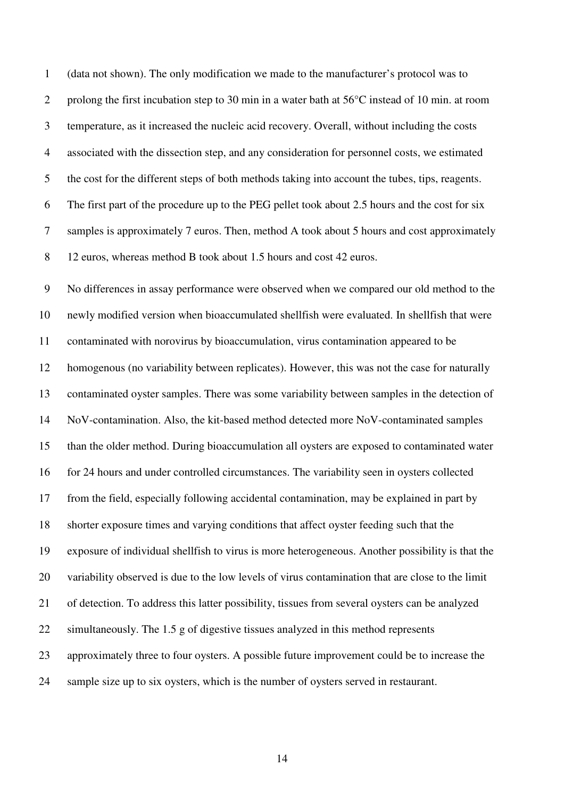1 (data not shown). The only modification we made to the manufacturer's protocol was to 2 prolong the first incubation step to 30 min in a water bath at 56°C instead of 10 min. at room 3 temperature, as it increased the nucleic acid recovery. Overall, without including the costs 4 associated with the dissection step, and any consideration for personnel costs, we estimated 5 the cost for the different steps of both methods taking into account the tubes, tips, reagents. 6 The first part of the procedure up to the PEG pellet took about 2.5 hours and the cost for six 7 samples is approximately 7 euros. Then, method A took about 5 hours and cost approximately 8 12 euros, whereas method B took about 1.5 hours and cost 42 euros.

9 No differences in assay performance were observed when we compared our old method to the 10 newly modified version when bioaccumulated shellfish were evaluated. In shellfish that were 11 contaminated with norovirus by bioaccumulation, virus contamination appeared to be 12 homogenous (no variability between replicates). However, this was not the case for naturally 13 contaminated oyster samples. There was some variability between samples in the detection of 14 NoV-contamination. Also, the kit-based method detected more NoV-contaminated samples 15 than the older method. During bioaccumulation all oysters are exposed to contaminated water 16 for 24 hours and under controlled circumstances. The variability seen in oysters collected 17 from the field, especially following accidental contamination, may be explained in part by 18 shorter exposure times and varying conditions that affect oyster feeding such that the 19 exposure of individual shellfish to virus is more heterogeneous. Another possibility is that the 20 variability observed is due to the low levels of virus contamination that are close to the limit 21 of detection. To address this latter possibility, tissues from several oysters can be analyzed 22 simultaneously. The 1.5 g of digestive tissues analyzed in this method represents 23 approximately three to four oysters. A possible future improvement could be to increase the 24 sample size up to six oysters, which is the number of oysters served in restaurant.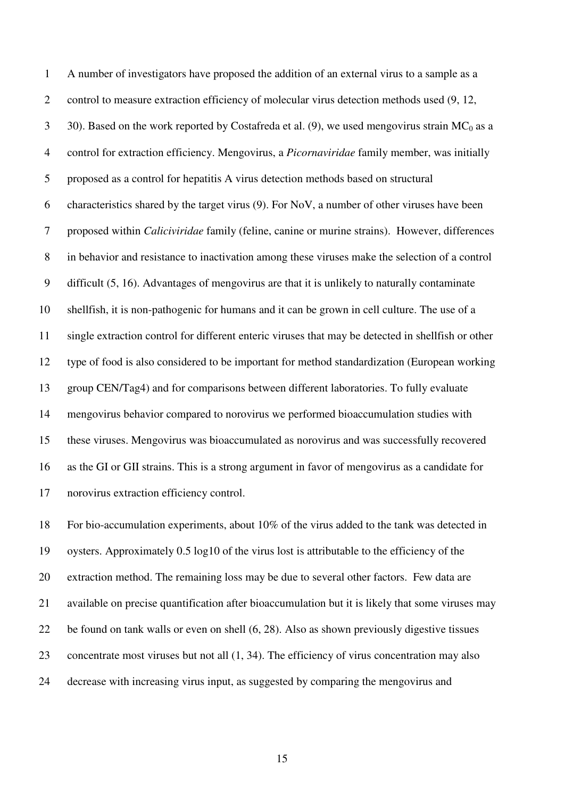1 A number of investigators have proposed the addition of an external virus to a sample as a 2 control to measure extraction efficiency of molecular virus detection methods used (9, 12, 3 30). Based on the work reported by Costafreda et al. (9), we used mengovirus strain  $MC_0$  as a 4 control for extraction efficiency. Mengovirus, a *Picornaviridae* family member, was initially 5 proposed as a control for hepatitis A virus detection methods based on structural 6 characteristics shared by the target virus  $(9)$ . For NoV, a number of other viruses have been 7 proposed within *Caliciviridae* family (feline, canine or murine strains). However, differences 8 in behavior and resistance to inactivation among these viruses make the selection of a control 9 difficult (5, 16). Advantages of mengovirus are that it is unlikely to naturally contaminate 10 shellfish, it is non-pathogenic for humans and it can be grown in cell culture. The use of a 11 single extraction control for different enteric viruses that may be detected in shellfish or other 12 type of food is also considered to be important for method standardization (European working 13 group CEN/Tag4) and for comparisons between different laboratories. To fully evaluate 14 mengovirus behavior compared to norovirus we performed bioaccumulation studies with 15 these viruses. Mengovirus was bioaccumulated as norovirus and was successfully recovered 16 as the GI or GII strains. This is a strong argument in favor of mengovirus as a candidate for 17 norovirus extraction efficiency control.

18 For bio-accumulation experiments, about 10% of the virus added to the tank was detected in 19 oysters. Approximately 0.5 log10 of the virus lost is attributable to the efficiency of the 20 extraction method. The remaining loss may be due to several other factors. Few data are 21 available on precise quantification after bioaccumulation but it is likely that some viruses may 22 be found on tank walls or even on shell (6, 28). Also as shown previously digestive tissues 23 concentrate most viruses but not all (1, 34). The efficiency of virus concentration may also 24 decrease with increasing virus input, as suggested by comparing the mengovirus and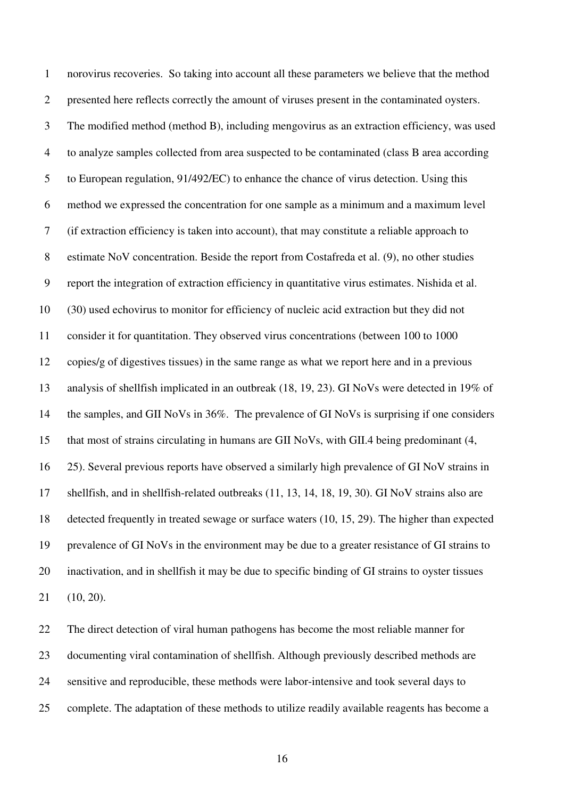1 norovirus recoveries. So taking into account all these parameters we believe that the method 2 presented here reflects correctly the amount of viruses present in the contaminated oysters. 3 The modified method (method B), including mengovirus as an extraction efficiency, was used 4 to analyze samples collected from area suspected to be contaminated (class B area according 5 to European regulation, 91/492/EC) to enhance the chance of virus detection. Using this 6 method we expressed the concentration for one sample as a minimum and a maximum level 7 (if extraction efficiency is taken into account), that may constitute a reliable approach to 8 estimate NoV concentration. Beside the report from Costafreda et al. (9), no other studies 9 report the integration of extraction efficiency in quantitative virus estimates. Nishida et al. 10 (30) used echovirus to monitor for efficiency of nucleic acid extraction but they did not 11 consider it for quantitation. They observed virus concentrations (between 100 to 1000 12 copies/g of digestives tissues) in the same range as what we report here and in a previous 13 analysis of shellfish implicated in an outbreak (18, 19, 23). GI NoVs were detected in 19% of 14 the samples, and GII NoVs in 36%. The prevalence of GI NoVs is surprising if one considers 15 that most of strains circulating in humans are GII NoVs, with GII.4 being predominant (4, 16 25). Several previous reports have observed a similarly high prevalence of GI NoV strains in 17 shellfish, and in shellfish-related outbreaks (11, 13, 14, 18, 19, 30). GI NoV strains also are 18 detected frequently in treated sewage or surface waters (10, 15, 29). The higher than expected 19 prevalence of GI NoVs in the environment may be due to a greater resistance of GI strains to 20 inactivation, and in shellfish it may be due to specific binding of GI strains to oyster tissues 21 (10, 20).

22 The direct detection of viral human pathogens has become the most reliable manner for 23 documenting viral contamination of shellfish. Although previously described methods are 24 sensitive and reproducible, these methods were labor-intensive and took several days to 25 complete. The adaptation of these methods to utilize readily available reagents has become a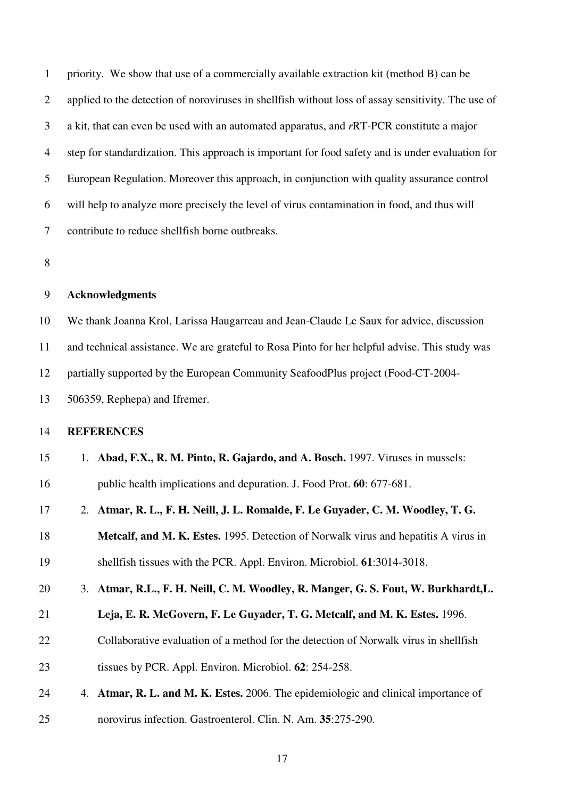1 priority. We show that use of a commercially available extraction kit (method B) can be 2 applied to the detection of noroviruses in shellfish without loss of assay sensitivity. The use of 3 a kit, that can even be used with an automated apparatus, and *r*RT-PCR constitute a major 4 step for standardization. This approach is important for food safety and is under evaluation for 5 European Regulation. Moreover this approach, in conjunction with quality assurance control 6 will help to analyze more precisely the level of virus contamination in food, and thus will 7 contribute to reduce shellfish borne outbreaks.

8

#### 9 **Acknowledgments**

10 We thank Joanna Krol, Larissa Haugarreau and Jean-Claude Le Saux for advice, discussion 11 and technical assistance. We are grateful to Rosa Pinto for her helpful advise. This study was 12 partially supported by the European Community SeafoodPlus project (Food-CT-2004- 13 506359, Rephepa) and Ifremer.

#### 14 **REFERENCES**

| 15 | 1. Abad, F.X., R. M. Pinto, R. Gajardo, and A. Bosch. 1997. Viruses in mussels: |
|----|---------------------------------------------------------------------------------|
| 16 | public health implications and depuration. J. Food Prot. 60: 677-681.           |

17 2. **Atmar, R. L., F. H. Neill, J. L. Romalde, F. Le Guyader, C. M. Woodley, T. G.** 

18 **Metcalf, and M. K. Estes.** 1995. Detection of Norwalk virus and hepatitis A virus in

- 19 shellfish tissues with the PCR. Appl. Environ. Microbiol. **61**:3014-3018.
- 20 3. **Atmar, R.L., F. H. Neill, C. M. Woodley, R. Manger, G. S. Fout, W. Burkhardt,L.**
- 21 **Leja, E. R. McGovern, F. Le Guyader, T. G. Metcalf, and M. K. Estes.** 1996.
- 22 Collaborative evaluation of a method for the detection of Norwalk virus in shellfish
- 23 tissues by PCR. Appl. Environ. Microbiol. **62**: 254-258.
- 24 4. **Atmar, R. L. and M. K. Estes.** 2006. The epidemiologic and clinical importance of
- 25 norovirus infection. Gastroenterol. Clin. N. Am. **35**:275-290.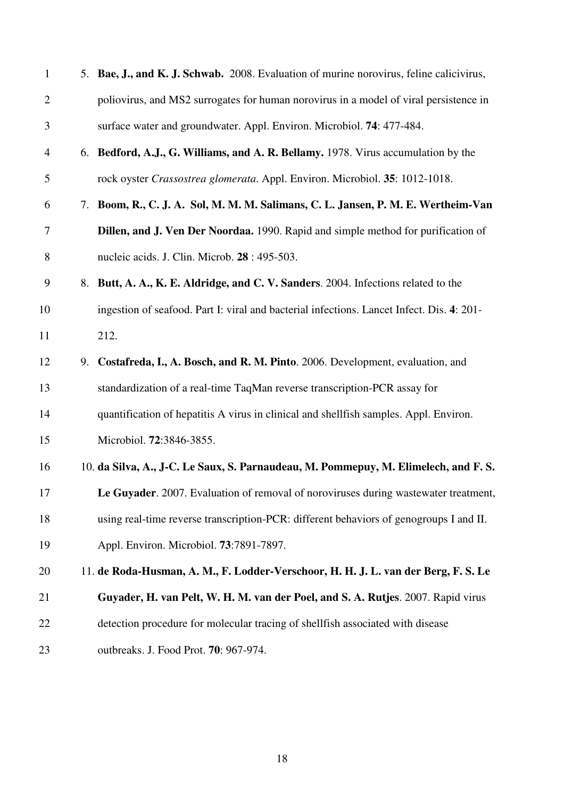| $\mathbf{1}$ | 5. Bae, J., and K. J. Schwab. 2008. Evaluation of murine norovirus, feline calicivirus,   |
|--------------|-------------------------------------------------------------------------------------------|
| $\mathbf{2}$ | poliovirus, and MS2 surrogates for human norovirus in a model of viral persistence in     |
| 3            | surface water and groundwater. Appl. Environ. Microbiol. 74: 477-484.                     |
| 4            | 6. Bedford, A.J., G. Williams, and A. R. Bellamy. 1978. Virus accumulation by the         |
| 5            | rock oyster Crassostrea glomerata. Appl. Environ. Microbiol. 35: 1012-1018.               |
| 6            | 7. Boom, R., C. J. A. Sol, M. M. M. Salimans, C. L. Jansen, P. M. E. Wertheim-Van         |
| 7            | Dillen, and J. Ven Der Noordaa. 1990. Rapid and simple method for purification of         |
| 8            | nucleic acids. J. Clin. Microb. 28 : 495-503.                                             |
| 9            | 8. Butt, A. A., K. E. Aldridge, and C. V. Sanders. 2004. Infections related to the        |
| 10           | ingestion of seafood. Part I: viral and bacterial infections. Lancet Infect. Dis. 4: 201- |
| 11           | 212.                                                                                      |
| 12           | 9. Costafreda, I., A. Bosch, and R. M. Pinto. 2006. Development, evaluation, and          |
| 13           | standardization of a real-time TaqMan reverse transcription-PCR assay for                 |
| 14           | quantification of hepatitis A virus in clinical and shellfish samples. Appl. Environ.     |
| 15           | Microbiol. 72:3846-3855.                                                                  |
| 16           | 10. da Silva, A., J-C. Le Saux, S. Parnaudeau, M. Pommepuy, M. Elimelech, and F. S.       |
| 17           | Le Guyader. 2007. Evaluation of removal of noroviruses during wastewater treatment,       |
| 18           | using real-time reverse transcription-PCR: different behaviors of genogroups I and II.    |
| 19           | Appl. Environ. Microbiol. 73:7891-7897.                                                   |
| 20           | 11. de Roda-Husman, A. M., F. Lodder-Verschoor, H. H. J. L. van der Berg, F. S. Le        |
| 21           | Guyader, H. van Pelt, W. H. M. van der Poel, and S. A. Rutjes. 2007. Rapid virus          |
| 22           | detection procedure for molecular tracing of shellfish associated with disease            |
| 23           | outbreaks. J. Food Prot. 70: 967-974.                                                     |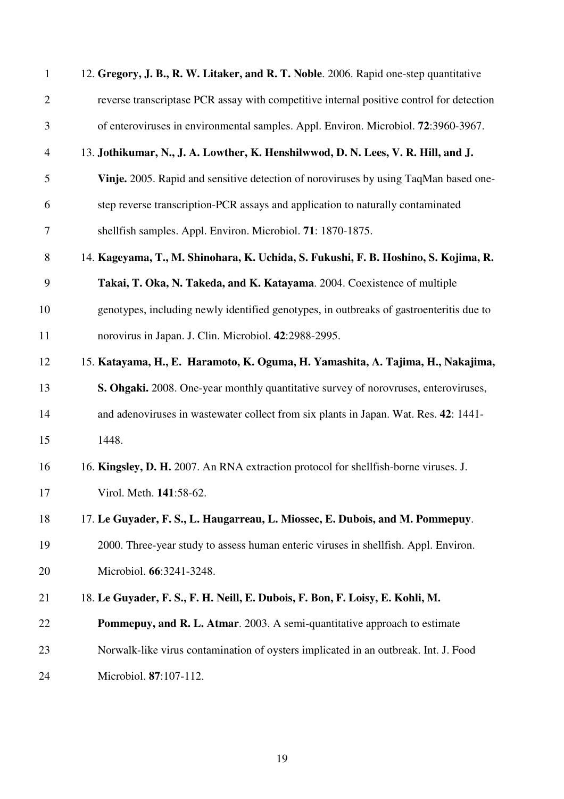| $\mathbf{1}$   | 12. Gregory, J. B., R. W. Litaker, and R. T. Noble. 2006. Rapid one-step quantitative    |
|----------------|------------------------------------------------------------------------------------------|
| $\mathbf{2}$   | reverse transcriptase PCR assay with competitive internal positive control for detection |
| $\mathfrak{Z}$ | of enteroviruses in environmental samples. Appl. Environ. Microbiol. 72:3960-3967.       |
| $\overline{4}$ | 13. Jothikumar, N., J. A. Lowther, K. Henshilwwod, D. N. Lees, V. R. Hill, and J.        |
| 5              | Vinje. 2005. Rapid and sensitive detection of noroviruses by using TaqMan based one-     |
| 6              | step reverse transcription-PCR assays and application to naturally contaminated          |
| 7              | shellfish samples. Appl. Environ. Microbiol. 71: 1870-1875.                              |
| 8              | 14. Kageyama, T., M. Shinohara, K. Uchida, S. Fukushi, F. B. Hoshino, S. Kojima, R.      |
| 9              | Takai, T. Oka, N. Takeda, and K. Katayama. 2004. Coexistence of multiple                 |
| 10             | genotypes, including newly identified genotypes, in outbreaks of gastroenteritis due to  |
| 11             | norovirus in Japan. J. Clin. Microbiol. 42:2988-2995.                                    |
| 12             | 15. Katayama, H., E. Haramoto, K. Oguma, H. Yamashita, A. Tajima, H., Nakajima,          |
| 13             | S. Ohgaki. 2008. One-year monthly quantitative survey of norovruses, enteroviruses,      |
| 14             | and adenoviruses in was tewater collect from six plants in Japan. Wat. Res. 42: 1441-    |
| 15             | 1448.                                                                                    |
| 16             | 16. Kingsley, D. H. 2007. An RNA extraction protocol for shellfish-borne viruses. J.     |
| 17             | Virol. Meth. 141:58-62.                                                                  |
| 18             | 17. Le Guyader, F. S., L. Haugarreau, L. Miossec, E. Dubois, and M. Pommepuy.            |
| 19             | 2000. Three-year study to assess human enteric viruses in shellfish. Appl. Environ.      |
| 20             | Microbiol. 66:3241-3248.                                                                 |
| 21             | 18. Le Guyader, F. S., F. H. Neill, E. Dubois, F. Bon, F. Loisy, E. Kohli, M.            |
| 22             | Pommepuy, and R. L. Atmar. 2003. A semi-quantitative approach to estimate                |
| 23             | Norwalk-like virus contamination of oysters implicated in an outbreak. Int. J. Food      |
| 24             | Microbiol. 87:107-112.                                                                   |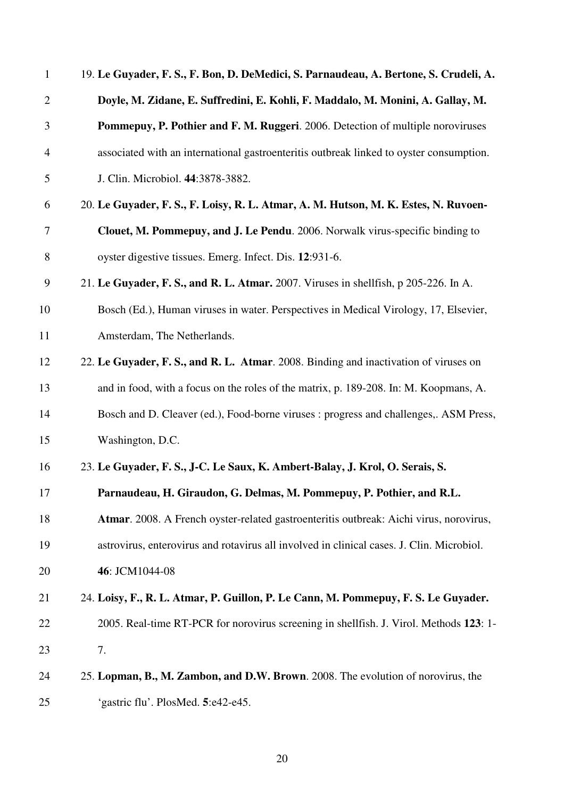| $\mathbf{1}$   | 19. Le Guyader, F. S., F. Bon, D. DeMedici, S. Parnaudeau, A. Bertone, S. Crudeli, A.     |
|----------------|-------------------------------------------------------------------------------------------|
| $\overline{2}$ | Doyle, M. Zidane, E. Suffredini, E. Kohli, F. Maddalo, M. Monini, A. Gallay, M.           |
| 3              | Pommepuy, P. Pothier and F. M. Ruggeri. 2006. Detection of multiple noroviruses           |
| 4              | associated with an international gastroenteritis outbreak linked to oyster consumption.   |
| 5              | J. Clin. Microbiol. 44:3878-3882.                                                         |
| 6              | 20. Le Guyader, F. S., F. Loisy, R. L. Atmar, A. M. Hutson, M. K. Estes, N. Ruvoen-       |
| 7              | Clouet, M. Pommepuy, and J. Le Pendu. 2006. Norwalk virus-specific binding to             |
| 8              | oyster digestive tissues. Emerg. Infect. Dis. 12:931-6.                                   |
| 9              | 21. Le Guyader, F. S., and R. L. Atmar. 2007. Viruses in shellfish, p 205-226. In A.      |
| 10             | Bosch (Ed.), Human viruses in water. Perspectives in Medical Virology, 17, Elsevier,      |
| 11             | Amsterdam, The Netherlands.                                                               |
| 12             | 22. Le Guyader, F. S., and R. L. Atmar. 2008. Binding and inactivation of viruses on      |
| 13             | and in food, with a focus on the roles of the matrix, p. 189-208. In: M. Koopmans, A.     |
| 14             | Bosch and D. Cleaver (ed.), Food-borne viruses : progress and challenges,. ASM Press,     |
| 15             | Washington, D.C.                                                                          |
| 16             | 23. Le Guyader, F. S., J-C. Le Saux, K. Ambert-Balay, J. Krol, O. Serais, S.              |
| 17             | Parnaudeau, H. Giraudon, G. Delmas, M. Pommepuy, P. Pothier, and R.L.                     |
| 18             | Atmar. 2008. A French oyster-related gastroenteritis outbreak: Aichi virus, norovirus,    |
| 19             | astrovirus, enterovirus and rotavirus all involved in clinical cases. J. Clin. Microbiol. |
| 20             | 46: JCM1044-08                                                                            |
| 21             | 24. Loisy, F., R. L. Atmar, P. Guillon, P. Le Cann, M. Pommepuy, F. S. Le Guyader.        |
| 22             | 2005. Real-time RT-PCR for norovirus screening in shellfish. J. Virol. Methods 123: 1-    |
| 23             | 7.                                                                                        |
| 24             | 25. Lopman, B., M. Zambon, and D.W. Brown. 2008. The evolution of norovirus, the          |
| 25             | 'gastric flu'. PlosMed. 5:e42-e45.                                                        |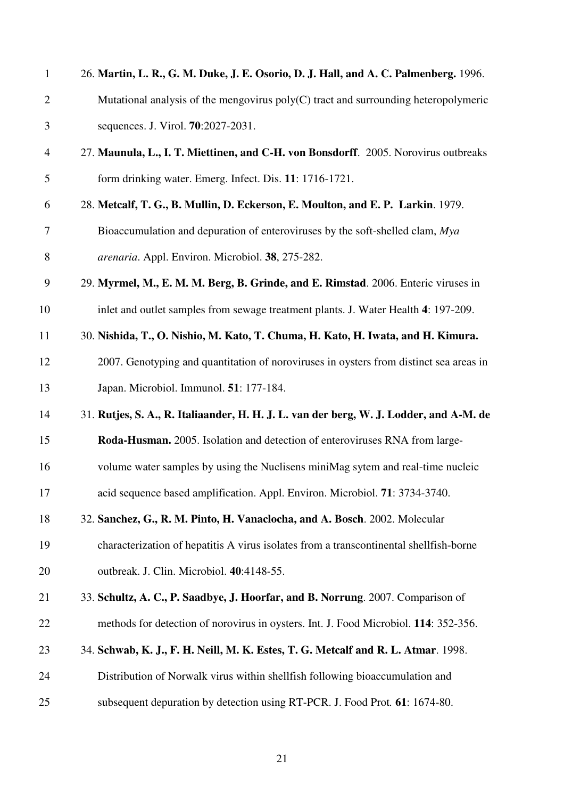| $\mathbf{1}$   | 26. Martin, L. R., G. M. Duke, J. E. Osorio, D. J. Hall, and A. C. Palmenberg. 1996.   |
|----------------|----------------------------------------------------------------------------------------|
| $\mathbf{2}$   | Mutational analysis of the mengovirus $poly(C)$ tract and surrounding heteropolymeric  |
| 3              | sequences. J. Virol. <b>70</b> :2027-2031.                                             |
| $\overline{4}$ | 27. Maunula, L., I. T. Miettinen, and C-H. von Bonsdorff. 2005. Norovirus outbreaks    |
| 5              | form drinking water. Emerg. Infect. Dis. 11: 1716-1721.                                |
| 6              | 28. Metcalf, T. G., B. Mullin, D. Eckerson, E. Moulton, and E. P. Larkin. 1979.        |
| 7              | Bioaccumulation and depuration of enteroviruses by the soft-shelled clam, Mya          |
| 8              | arenaria. Appl. Environ. Microbiol. 38, 275-282.                                       |
| 9              | 29. Myrmel, M., E. M. M. Berg, B. Grinde, and E. Rimstad. 2006. Enteric viruses in     |
| 10             | inlet and outlet samples from sewage treatment plants. J. Water Health 4: 197-209.     |
| 11             | 30. Nishida, T., O. Nishio, M. Kato, T. Chuma, H. Kato, H. Iwata, and H. Kimura.       |
| 12             | 2007. Genotyping and quantitation of noroviruses in oysters from distinct sea areas in |
| 13             | Japan. Microbiol. Immunol. 51: 177-184.                                                |
| 14             | 31. Rutjes, S. A., R. Italiaander, H. H. J. L. van der berg, W. J. Lodder, and A-M. de |
| 15             | Roda-Husman. 2005. Isolation and detection of enteroviruses RNA from large-            |
| 16             | volume water samples by using the Nuclisens miniMag sytem and real-time nucleic        |
| 17             | acid sequence based amplification. Appl. Environ. Microbiol. 71: 3734-3740.            |
| 18             | 32. Sanchez, G., R. M. Pinto, H. Vanaclocha, and A. Bosch. 2002. Molecular             |
| 19             | characterization of hepatitis A virus isolates from a transcontinental shellfish-borne |
| 20             | outbreak. J. Clin. Microbiol. 40:4148-55.                                              |
| 21             | 33. Schultz, A. C., P. Saadbye, J. Hoorfar, and B. Norrung. 2007. Comparison of        |
| 22             | methods for detection of norovirus in oysters. Int. J. Food Microbiol. 114: 352-356.   |
| 23             | 34. Schwab, K. J., F. H. Neill, M. K. Estes, T. G. Metcalf and R. L. Atmar. 1998.      |
| 24             | Distribution of Norwalk virus within shellfish following bioaccumulation and           |
| 25             | subsequent depuration by detection using RT-PCR. J. Food Prot. 61: 1674-80.            |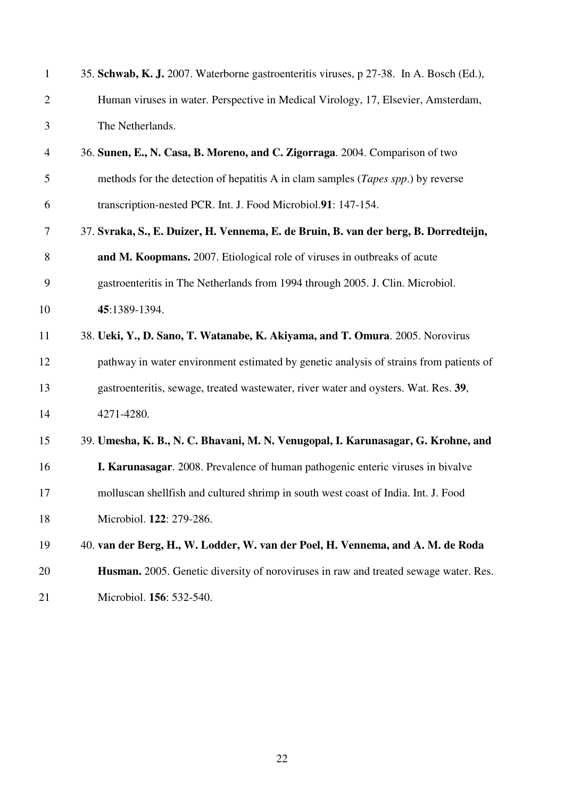| $\mathbf{1}$   | 35. Schwab, K. J. 2007. Waterborne gastroenteritis viruses, p 27-38. In A. Bosch (Ed.),   |
|----------------|-------------------------------------------------------------------------------------------|
| $\overline{2}$ | Human viruses in water. Perspective in Medical Virology, 17, Elsevier, Amsterdam,         |
| 3              | The Netherlands.                                                                          |
| $\overline{4}$ | 36. Sunen, E., N. Casa, B. Moreno, and C. Zigorraga. 2004. Comparison of two              |
| 5              | methods for the detection of hepatitis A in clam samples ( <i>Tapes spp.</i> ) by reverse |
| 6              | transcription-nested PCR. Int. J. Food Microbiol.91: 147-154.                             |
| 7              | 37. Svraka, S., E. Duizer, H. Vennema, E. de Bruin, B. van der berg, B. Dorredteijn,      |
| 8              | and M. Koopmans. 2007. Etiological role of viruses in outbreaks of acute                  |
| 9              | gastroenteritis in The Netherlands from 1994 through 2005. J. Clin. Microbiol.            |
| 10             | 45:1389-1394.                                                                             |
| 11             | 38. Ueki, Y., D. Sano, T. Watanabe, K. Akiyama, and T. Omura. 2005. Norovirus             |
| 12             | pathway in water environment estimated by genetic analysis of strains from patients of    |
| 13             | gastroenteritis, sewage, treated wastewater, river water and oysters. Wat. Res. 39,       |
| 14             | 4271-4280.                                                                                |
| 15             | 39. Umesha, K. B., N. C. Bhavani, M. N. Venugopal, I. Karunasagar, G. Krohne, and         |
| 16             | I. Karunasagar. 2008. Prevalence of human pathogenic enteric viruses in bivalve           |
| 17             | molluscan shellfish and cultured shrimp in south west coast of India. Int. J. Food        |
| 18             | Microbiol. 122: 279-286.                                                                  |
| 19             | 40. van der Berg, H., W. Lodder, W. van der Poel, H. Vennema, and A. M. de Roda           |
| 20             | Husman. 2005. Genetic diversity of noroviruses in raw and treated sewage water. Res.      |
|                |                                                                                           |

21 Microbiol. **156**: 532-540.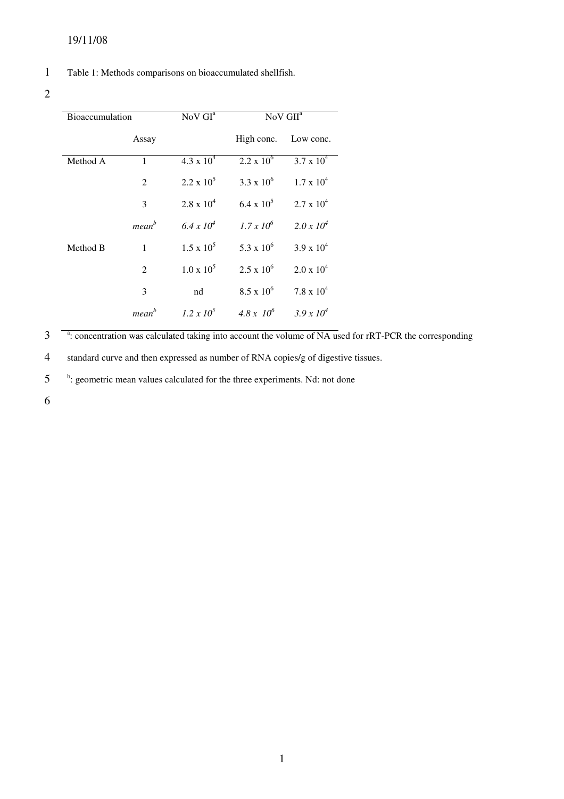#### 1 Table 1: Methods comparisons on bioaccumulated shellfish.

## 2

| <b>Bioaccumulation</b> |                   | NoV GI <sup>a</sup> | NoV GII <sup>a</sup> |                     |  |
|------------------------|-------------------|---------------------|----------------------|---------------------|--|
|                        | Assay             |                     | High conc.           | Low conc.           |  |
| Method A               | 1                 | $4.3 \times 10^{4}$ | $2.2 \times 10^6$    | $3.7 \times 10^{4}$ |  |
|                        | 2                 | $2.2 \times 10^5$   | $3.3 \times 10^6$    | $1.7 \times 10^4$   |  |
|                        | 3                 | $2.8 \times 10^4$   | 6.4 x $10^5$         | $2.7 \times 10^4$   |  |
|                        | mean <sup>b</sup> | $6.4 \times 10^4$   | $1.7 \times 10^{6}$  | $2.0 \times 10^4$   |  |
| Method B               | 1                 | $1.5 \times 10^5$   | 5.3 x $10^6$         | $3.9 \times 10^{4}$ |  |
|                        | 2                 | $1.0 \times 10^5$   | $2.5 \times 10^6$    | $2.0 \times 10^4$   |  |
|                        | 3                 | nd                  | $8.5 \times 10^6$    | $7.8 \times 10^4$   |  |
|                        | mean <sup>b</sup> | $1.2 \times 10^5$   | $4.8 \times 10^{6}$  | $3.9 \times 10^{4}$ |  |

<sup>a</sup>: concentration was calculated taking into account the volume of NA used for rRT-PCR the corresponding

4 standard curve and then expressed as number of RNA copies/g of digestive tissues.

5 <sup>b</sup>: geometric mean values calculated for the three experiments. Nd: not done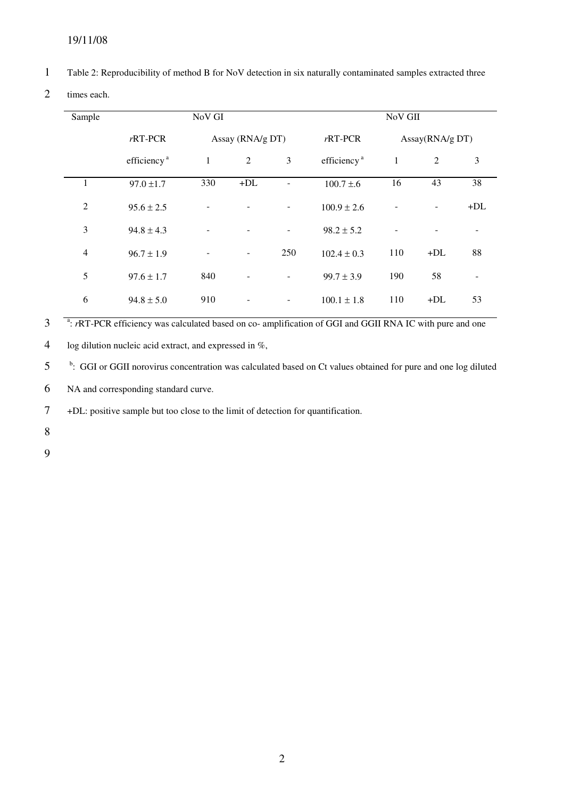## 19/11/08

- 1 Table 2: Reproducibility of method B for NoV detection in six naturally contaminated samples extracted three
- 2 times each.

| Sample         | NoV GI                        |              |                          |                          | NoV GII                 |              |                |       |
|----------------|-------------------------------|--------------|--------------------------|--------------------------|-------------------------|--------------|----------------|-------|
|                | $rRT-PCR$<br>Assay (RNA/g DT) |              | $rRT$ -PCR               | Assay(RNA/g DT)          |                         |              |                |       |
|                | efficiency <sup>a</sup>       | $\mathbf{1}$ | $\boldsymbol{2}$         | 3                        | efficiency <sup>a</sup> | $\mathbf{1}$ | $\mathfrak{2}$ | 3     |
|                | $97.0 \pm 1.7$                | 330          | $+DL$                    |                          | $100.7 \pm 0.6$         | 16           | 43             | 38    |
| $\overline{2}$ | $95.6 \pm 2.5$                |              |                          |                          | $100.9 \pm 2.6$         |              |                | $+DL$ |
| 3              | $94.8 \pm 4.3$                |              |                          | $\overline{\phantom{a}}$ | $98.2 \pm 5.2$          |              |                |       |
| $\overline{4}$ | $96.7 \pm 1.9$                |              | $\overline{\phantom{a}}$ | 250                      | $102.4 \pm 0.3$         | 110          | $+DL$          | 88    |
| 5              | $97.6 \pm 1.7$                | 840          |                          |                          | $99.7 \pm 3.9$          | 190          | 58             |       |
| 6              | $94.8 \pm 5.0$                | 910          |                          |                          | $100.1 \pm 1.8$         | 110          | $+DL$          | 53    |

<sup>a</sup>: *r*RT-PCR efficiency was calculated based on co- amplification of GGI and GGII RNA IC with pure and one

4 log dilution nucleic acid extract, and expressed in %,

<sup>b</sup>: GGI or GGII norovirus concentration was calculated based on Ct values obtained for pure and one log diluted

6 NA and corresponding standard curve.

7 +DL: positive sample but too close to the limit of detection for quantification.

8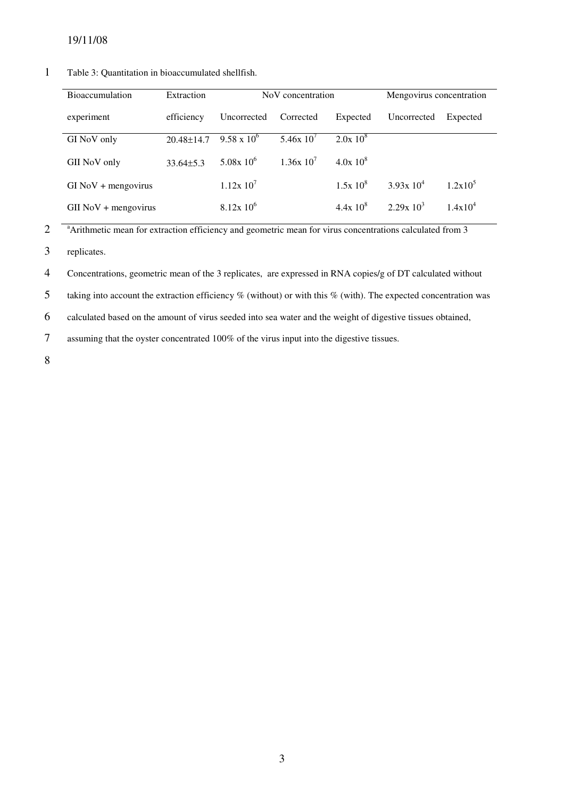| <b>Bioaccumulation</b> | Extraction       | NoV concentration    |           |              | Mengovirus concentration |            |  |
|------------------------|------------------|----------------------|-----------|--------------|--------------------------|------------|--|
| experiment             | efficiency       | Uncorrected          | Corrected | Expected     | Uncorrected              | Expected   |  |
| GI NoV only            | $20.48 \pm 14.7$ | $9.58 \times 10^{6}$ | 5.46x10'  | $2.0x\ 10^8$ |                          |            |  |
| GII NoV only           | $33.64\pm5.3$    | $5.08x10^6$          | 1.36x10'  | $4.0x\ 10^8$ |                          |            |  |
| $GI$ NoV + mengovirus  |                  | $1.12x\ 10'$         |           | $1.5x10^{8}$ | $3.93x 10^4$             | $1.2x10^5$ |  |
| $GII$ NoV + mengovirus |                  | $8.12x\ 10^6$        |           | $4.4x10^{8}$ | $2.29x10^3$              | $1.4x10^4$ |  |

#### 1 Table 3: Quantitation in bioaccumulated shellfish.

<sup>a</sup> Arithmetic mean for extraction efficiency and geometric mean for virus concentrations calculated from 3

3 replicates.

4 Concentrations, geometric mean of the 3 replicates, are expressed in RNA copies/g of DT calculated without

5 taking into account the extraction efficiency % (without) or with this % (with). The expected concentration was

6 calculated based on the amount of virus seeded into sea water and the weight of digestive tissues obtained,

7 assuming that the oyster concentrated 100% of the virus input into the digestive tissues.